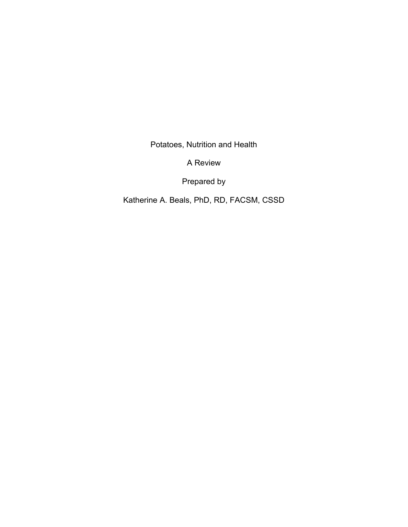Potatoes, Nutrition and Health

A Review

Prepared by

Katherine A. Beals, PhD, RD, FACSM, CSSD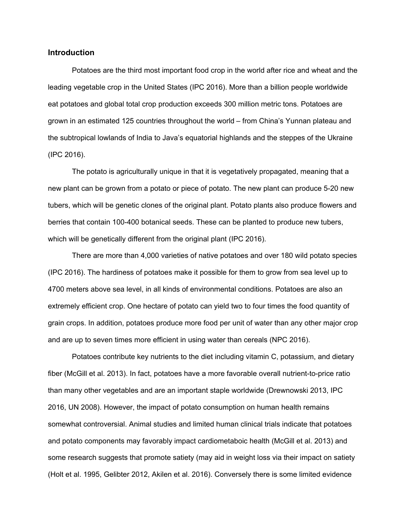# **Introduction**

 Potatoes are the third most important food crop in the world after rice and wheat and the leading vegetable crop in the United States (IPC 2016). More than a billion people worldwide eat potatoes and global total crop production exceeds 300 million metric tons. Potatoes are grown in an estimated 125 countries throughout the world – from China's Yunnan plateau and the subtropical lowlands of India to Java's equatorial highlands and the steppes of the Ukraine (IPC 2016).

 The potato is agriculturally unique in that it is vegetatively propagated, meaning that a new plant can be grown from a potato or piece of potato. The new plant can produce 5-20 new tubers, which will be genetic clones of the original plant. Potato plants also produce flowers and berries that contain 100-400 botanical seeds. These can be planted to produce new tubers, which will be genetically different from the original plant (IPC 2016).

 There are more than 4,000 varieties of native potatoes and over 180 wild potato species (IPC 2016). The hardiness of potatoes make it possible for them to grow from sea level up to 4700 meters above sea level, in all kinds of environmental conditions. Potatoes are also an extremely efficient crop. One hectare of potato can yield two to four times the food quantity of grain crops. In addition, potatoes produce more food per unit of water than any other major crop and are up to seven times more efficient in using water than cereals (NPC 2016).

Potatoes contribute key nutrients to the diet including vitamin C, potassium, and dietary fiber (McGill et al. 2013). In fact, potatoes have a more favorable overall nutrient-to-price ratio than many other vegetables and are an important staple worldwide (Drewnowski 2013, IPC 2016, UN 2008). However, the impact of potato consumption on human health remains somewhat controversial. Animal studies and limited human clinical trials indicate that potatoes and potato components may favorably impact cardiometaboic health (McGill et al. 2013) and some research suggests that promote satiety (may aid in weight loss via their impact on satiety (Holt et al. 1995, Gelibter 2012, Akilen et al. 2016). Conversely there is some limited evidence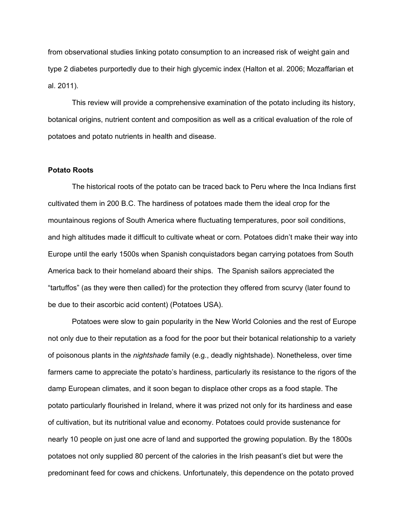from observational studies linking potato consumption to an increased risk of weight gain and type 2 diabetes purportedly due to their high glycemic index (Halton et al. 2006; Mozaffarian et al. 2011).

 This review will provide a comprehensive examination of the potato including its history, botanical origins, nutrient content and composition as well as a critical evaluation of the role of potatoes and potato nutrients in health and disease.

# **Potato Roots**

The historical roots of the potato can be traced back to Peru where the Inca Indians first cultivated them in 200 B.C. The hardiness of potatoes made them the ideal crop for the mountainous regions of South America where fluctuating temperatures, poor soil conditions, and high altitudes made it difficult to cultivate wheat or corn. Potatoes didn't make their way into Europe until the early 1500s when Spanish conquistadors began carrying potatoes from South America back to their homeland aboard their ships. The Spanish sailors appreciated the "tartuffos" (as they were then called) for the protection they offered from scurvy (later found to be due to their ascorbic acid content) (Potatoes USA).

Potatoes were slow to gain popularity in the New World Colonies and the rest of Europe not only due to their reputation as a food for the poor but their botanical relationship to a variety of poisonous plants in the *nightshade* family (e.g., deadly nightshade). Nonetheless, over time farmers came to appreciate the potato's hardiness, particularly its resistance to the rigors of the damp European climates, and it soon began to displace other crops as a food staple. The potato particularly flourished in Ireland, where it was prized not only for its hardiness and ease of cultivation, but its nutritional value and economy. Potatoes could provide sustenance for nearly 10 people on just one acre of land and supported the growing population. By the 1800s potatoes not only supplied 80 percent of the calories in the Irish peasant's diet but were the predominant feed for cows and chickens. Unfortunately, this dependence on the potato proved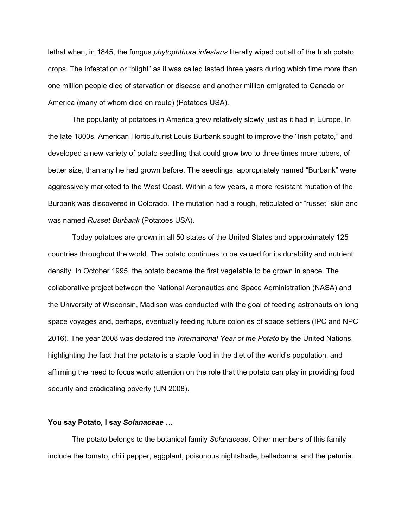lethal when, in 1845, the fungus *phytophthora infestans* literally wiped out all of the Irish potato crops. The infestation or "blight" as it was called lasted three years during which time more than one million people died of starvation or disease and another million emigrated to Canada or America (many of whom died en route) (Potatoes USA).

The popularity of potatoes in America grew relatively slowly just as it had in Europe. In the late 1800s, American Horticulturist Louis Burbank sought to improve the "Irish potato," and developed a new variety of potato seedling that could grow two to three times more tubers, of better size, than any he had grown before. The seedlings, appropriately named "Burbank" were aggressively marketed to the West Coast. Within a few years, a more resistant mutation of the Burbank was discovered in Colorado. The mutation had a rough, reticulated or "russet" skin and was named *Russet Burbank* (Potatoes USA).

Today potatoes are grown in all 50 states of the United States and approximately 125 countries throughout the world. The potato continues to be valued for its durability and nutrient density. In October 1995, the potato became the first vegetable to be grown in space. The collaborative project between the National Aeronautics and Space Administration (NASA) and the University of Wisconsin, Madison was conducted with the goal of feeding astronauts on long space voyages and, perhaps, eventually feeding future colonies of space settlers (IPC and NPC 2016). The year 2008 was declared the *International Year of the Potato* by the United Nations, highlighting the fact that the potato is a staple food in the diet of the world's population, and affirming the need to focus world attention on the role that the potato can play in providing food security and eradicating poverty (UN 2008).

# **You say Potato, I say** *Solanaceae* **…**

The potato belongs to the botanical family *Solanaceae*. Other members of this family include the tomato, chili pepper, eggplant, poisonous nightshade, belladonna, and the petunia.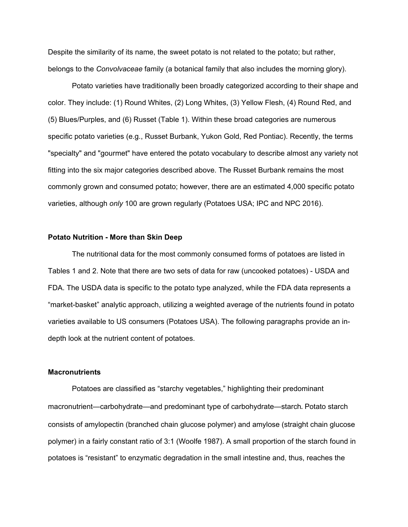Despite the similarity of its name, the sweet potato is not related to the potato; but rather, belongs to the *Convolvaceae* family (a botanical family that also includes the morning glory).

Potato varieties have traditionally been broadly categorized according to their shape and color. They include: (1) Round Whites, (2) Long Whites, (3) Yellow Flesh, (4) Round Red, and (5) Blues/Purples, and (6) Russet (Table 1). Within these broad categories are numerous specific potato varieties (e.g., Russet Burbank, Yukon Gold, Red Pontiac). Recently, the terms "specialty" and "gourmet" have entered the potato vocabulary to describe almost any variety not fitting into the six major categories described above. The Russet Burbank remains the most commonly grown and consumed potato; however, there are an estimated 4,000 specific potato varieties, although *only* 100 are grown regularly (Potatoes USA; IPC and NPC 2016).

## **Potato Nutrition - More than Skin Deep**

The nutritional data for the most commonly consumed forms of potatoes are listed in Tables 1 and 2. Note that there are two sets of data for raw (uncooked potatoes) - USDA and FDA. The USDA data is specific to the potato type analyzed, while the FDA data represents a "market-basket" analytic approach, utilizing a weighted average of the nutrients found in potato varieties available to US consumers (Potatoes USA). The following paragraphs provide an indepth look at the nutrient content of potatoes.

#### **Macronutrients**

Potatoes are classified as "starchy vegetables," highlighting their predominant macronutrient—carbohydrate—and predominant type of carbohydrate—starch. Potato starch consists of amylopectin (branched chain glucose polymer) and amylose (straight chain glucose polymer) in a fairly constant ratio of 3:1 (Woolfe 1987). A small proportion of the starch found in potatoes is "resistant" to enzymatic degradation in the small intestine and, thus, reaches the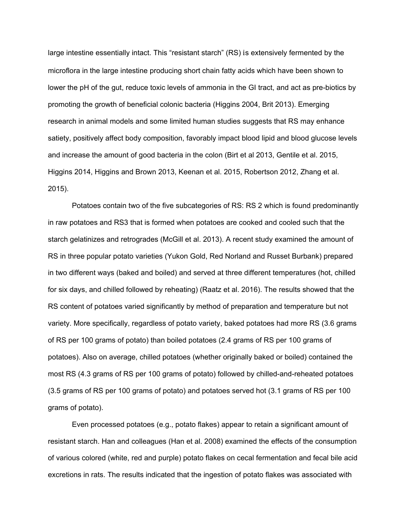large intestine essentially intact. This "resistant starch" (RS) is extensively fermented by the microflora in the large intestine producing short chain fatty acids which have been shown to lower the pH of the gut, reduce toxic levels of ammonia in the GI tract, and act as pre-biotics by promoting the growth of beneficial colonic bacteria (Higgins 2004, Brit 2013). Emerging research in animal models and some limited human studies suggests that RS may enhance satiety, positively affect body composition, favorably impact blood lipid and blood glucose levels and increase the amount of good bacteria in the colon (Birt et al 2013, Gentile et al. 2015, Higgins 2014, Higgins and Brown 2013, Keenan et al. 2015, Robertson 2012, Zhang et al. 2015).

 Potatoes contain two of the five subcategories of RS: RS 2 which is found predominantly in raw potatoes and RS3 that is formed when potatoes are cooked and cooled such that the starch gelatinizes and retrogrades (McGill et al. 2013). A recent study examined the amount of RS in three popular potato varieties (Yukon Gold, Red Norland and Russet Burbank) prepared in two different ways (baked and boiled) and served at three different temperatures (hot, chilled for six days, and chilled followed by reheating) (Raatz et al. 2016). The results showed that the RS content of potatoes varied significantly by method of preparation and temperature but not variety. More specifically, regardless of potato variety, baked potatoes had more RS (3.6 grams of RS per 100 grams of potato) than boiled potatoes (2.4 grams of RS per 100 grams of potatoes). Also on average, chilled potatoes (whether originally baked or boiled) contained the most RS (4.3 grams of RS per 100 grams of potato) followed by chilled-and-reheated potatoes (3.5 grams of RS per 100 grams of potato) and potatoes served hot (3.1 grams of RS per 100 grams of potato).

 Even processed potatoes (e.g., potato flakes) appear to retain a significant amount of resistant starch. Han and colleagues (Han et al. 2008) examined the effects of the consumption of various colored (white, red and purple) potato flakes on cecal fermentation and fecal bile acid excretions in rats. The results indicated that the ingestion of potato flakes was associated with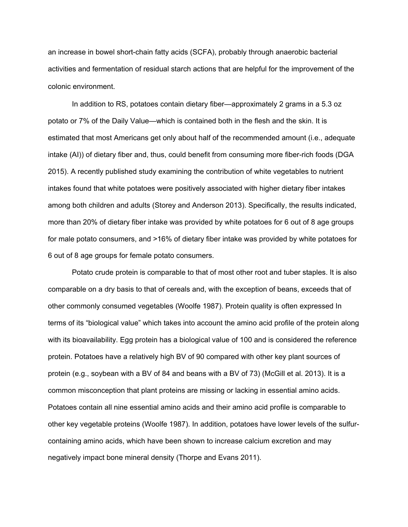an increase in bowel short-chain fatty acids (SCFA), probably through anaerobic bacterial activities and fermentation of residual starch actions that are helpful for the improvement of the colonic environment.

 In addition to RS, potatoes contain dietary fiber—approximately 2 grams in a 5.3 oz potato or 7% of the Daily Value—which is contained both in the flesh and the skin. It is estimated that most Americans get only about half of the recommended amount (i.e., adequate intake (AI)) of dietary fiber and, thus, could benefit from consuming more fiber-rich foods (DGA 2015). A recently published study examining the contribution of white vegetables to nutrient intakes found that white potatoes were positively associated with higher dietary fiber intakes among both children and adults (Storey and Anderson 2013). Specifically, the results indicated, more than 20% of dietary fiber intake was provided by white potatoes for 6 out of 8 age groups for male potato consumers, and >16% of dietary fiber intake was provided by white potatoes for 6 out of 8 age groups for female potato consumers.

Potato crude protein is comparable to that of most other root and tuber staples. It is also comparable on a dry basis to that of cereals and, with the exception of beans, exceeds that of other commonly consumed vegetables (Woolfe 1987). Protein quality is often expressed In terms of its "biological value" which takes into account the amino acid profile of the protein along with its bioavailability. Egg protein has a biological value of 100 and is considered the reference protein. Potatoes have a relatively high BV of 90 compared with other key plant sources of protein (e.g., soybean with a BV of 84 and beans with a BV of 73) (McGill et al. 2013). It is a common misconception that plant proteins are missing or lacking in essential amino acids. Potatoes contain all nine essential amino acids and their amino acid profile is comparable to other key vegetable proteins (Woolfe 1987). In addition, potatoes have lower levels of the sulfurcontaining amino acids, which have been shown to increase calcium excretion and may negatively impact bone mineral density (Thorpe and Evans 2011).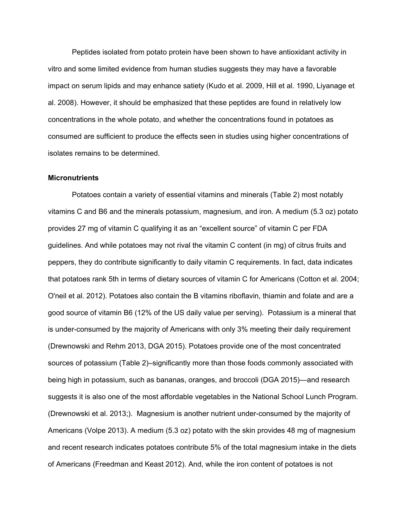Peptides isolated from potato protein have been shown to have antioxidant activity in vitro and some limited evidence from human studies suggests they may have a favorable impact on serum lipids and may enhance satiety (Kudo et al. 2009, Hill et al. 1990, Liyanage et al. 2008). However, it should be emphasized that these peptides are found in relatively low concentrations in the whole potato, and whether the concentrations found in potatoes as consumed are sufficient to produce the effects seen in studies using higher concentrations of isolates remains to be determined.

## **Micronutrients**

 Potatoes contain a variety of essential vitamins and minerals (Table 2) most notably vitamins C and B6 and the minerals potassium, magnesium, and iron. A medium (5.3 oz) potato provides 27 mg of vitamin C qualifying it as an "excellent source" of vitamin C per FDA guidelines. And while potatoes may not rival the vitamin C content (in mg) of citrus fruits and peppers, they do contribute significantly to daily vitamin C requirements. In fact, data indicates that potatoes rank 5th in terms of dietary sources of vitamin C for Americans (Cotton et al. 2004; O'neil et al. 2012). Potatoes also contain the B vitamins riboflavin, thiamin and folate and are a good source of vitamin B6 (12% of the US daily value per serving). Potassium is a mineral that is under-consumed by the majority of Americans with only 3% meeting their daily requirement (Drewnowski and Rehm 2013, DGA 2015). Potatoes provide one of the most concentrated sources of potassium (Table 2)–significantly more than those foods commonly associated with being high in potassium, such as bananas, oranges, and broccoli (DGA 2015)—and research suggests it is also one of the most affordable vegetables in the National School Lunch Program. (Drewnowski et al. 2013;). Magnesium is another nutrient under-consumed by the majority of Americans (Volpe 2013). A medium (5.3 oz) potato with the skin provides 48 mg of magnesium and recent research indicates potatoes contribute 5% of the total magnesium intake in the diets of Americans (Freedman and Keast 2012). And, while the iron content of potatoes is not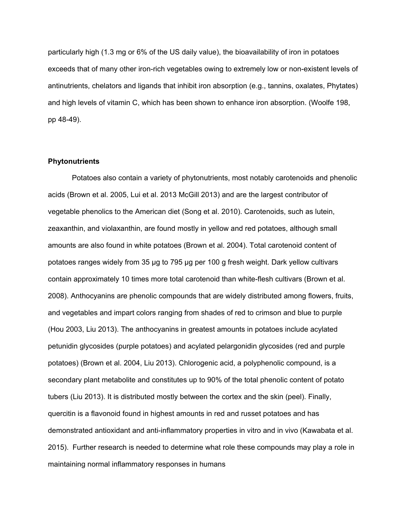particularly high (1.3 mg or 6% of the US daily value), the bioavailability of iron in potatoes exceeds that of many other iron-rich vegetables owing to extremely low or non-existent levels of antinutrients, chelators and ligands that inhibit iron absorption (e.g., tannins, oxalates, Phytates) and high levels of vitamin C, which has been shown to enhance iron absorption. (Woolfe 198, pp 48-49).

# **Phytonutrients**

 Potatoes also contain a variety of phytonutrients, most notably carotenoids and phenolic acids (Brown et al. 2005, Lui et al. 2013 McGill 2013) and are the largest contributor of vegetable phenolics to the American diet (Song et al. 2010). Carotenoids, such as lutein, zeaxanthin, and violaxanthin, are found mostly in yellow and red potatoes, although small amounts are also found in white potatoes (Brown et al. 2004). Total carotenoid content of potatoes ranges widely from 35 μg to 795 μg per 100 g fresh weight. Dark yellow cultivars contain approximately 10 times more total carotenoid than white-flesh cultivars (Brown et al. 2008). Anthocyanins are phenolic compounds that are widely distributed among flowers, fruits, and vegetables and impart colors ranging from shades of red to crimson and blue to purple (Hou 2003, Liu 2013). The anthocyanins in greatest amounts in potatoes include acylated petunidin glycosides (purple potatoes) and acylated pelargonidin glycosides (red and purple potatoes) (Brown et al. 2004, Liu 2013). Chlorogenic acid, a polyphenolic compound, is a secondary plant metabolite and constitutes up to 90% of the total phenolic content of potato tubers (Liu 2013). It is distributed mostly between the cortex and the skin (peel). Finally, quercitin is a flavonoid found in highest amounts in red and russet potatoes and has demonstrated antioxidant and anti-inflammatory properties in vitro and in vivo (Kawabata et al. 2015). Further research is needed to determine what role these compounds may play a role in maintaining normal inflammatory responses in humans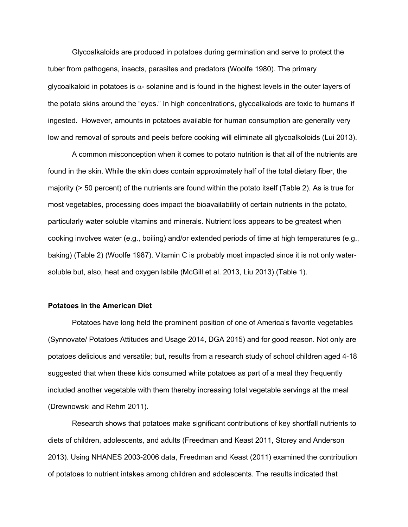Glycoalkaloids are produced in potatoes during germination and serve to protect the tuber from pathogens, insects, parasites and predators (Woolfe 1980). The primary glycoalkaloid in potatoes is  $\alpha$ - solanine and is found in the highest levels in the outer layers of the potato skins around the "eyes." In high concentrations, glycoalkalods are toxic to humans if ingested. However, amounts in potatoes available for human consumption are generally very low and removal of sprouts and peels before cooking will eliminate all glycoalkoloids (Lui 2013).

A common misconception when it comes to potato nutrition is that all of the nutrients are found in the skin. While the skin does contain approximately half of the total dietary fiber, the majority (> 50 percent) of the nutrients are found within the potato itself (Table 2). As is true for most vegetables, processing does impact the bioavailability of certain nutrients in the potato, particularly water soluble vitamins and minerals. Nutrient loss appears to be greatest when cooking involves water (e.g., boiling) and/or extended periods of time at high temperatures (e.g., baking) (Table 2) (Woolfe 1987). Vitamin C is probably most impacted since it is not only watersoluble but, also, heat and oxygen labile (McGill et al. 2013, Liu 2013).(Table 1).

#### **Potatoes in the American Diet**

 Potatoes have long held the prominent position of one of America's favorite vegetables (Synnovate/ Potatoes Attitudes and Usage 2014, DGA 2015) and for good reason. Not only are potatoes delicious and versatile; but, results from a research study of school children aged 4-18 suggested that when these kids consumed white potatoes as part of a meal they frequently included another vegetable with them thereby increasing total vegetable servings at the meal (Drewnowski and Rehm 2011).

Research shows that potatoes make significant contributions of key shortfall nutrients to diets of children, adolescents, and adults (Freedman and Keast 2011, Storey and Anderson 2013). Using NHANES 2003-2006 data, Freedman and Keast (2011) examined the contribution of potatoes to nutrient intakes among children and adolescents. The results indicated that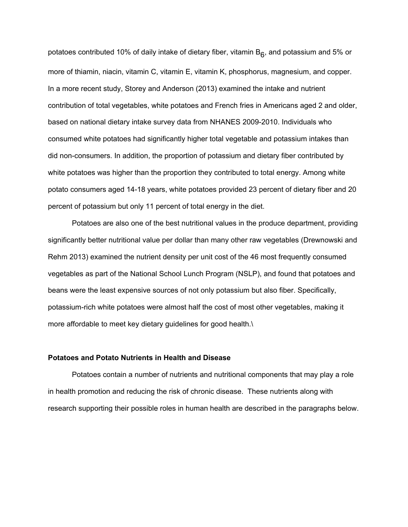potatoes contributed 10% of daily intake of dietary fiber, vitamin  $B_6$ , and potassium and 5% or more of thiamin, niacin, vitamin C, vitamin E, vitamin K, phosphorus, magnesium, and copper. In a more recent study, Storey and Anderson (2013) examined the intake and nutrient contribution of total vegetables, white potatoes and French fries in Americans aged 2 and older, based on national dietary intake survey data from NHANES 2009-2010. Individuals who consumed white potatoes had significantly higher total vegetable and potassium intakes than did non-consumers. In addition, the proportion of potassium and dietary fiber contributed by white potatoes was higher than the proportion they contributed to total energy. Among white potato consumers aged 14-18 years, white potatoes provided 23 percent of dietary fiber and 20 percent of potassium but only 11 percent of total energy in the diet.

 Potatoes are also one of the best nutritional values in the produce department, providing significantly better nutritional value per dollar than many other raw vegetables (Drewnowski and Rehm 2013) examined the nutrient density per unit cost of the 46 most frequently consumed vegetables as part of the National School Lunch Program (NSLP), and found that potatoes and beans were the least expensive sources of not only potassium but also fiber. Specifically, potassium-rich white potatoes were almost half the cost of most other vegetables, making it more affordable to meet key dietary guidelines for good health.\

## **Potatoes and Potato Nutrients in Health and Disease**

 Potatoes contain a number of nutrients and nutritional components that may play a role in health promotion and reducing the risk of chronic disease. These nutrients along with research supporting their possible roles in human health are described in the paragraphs below.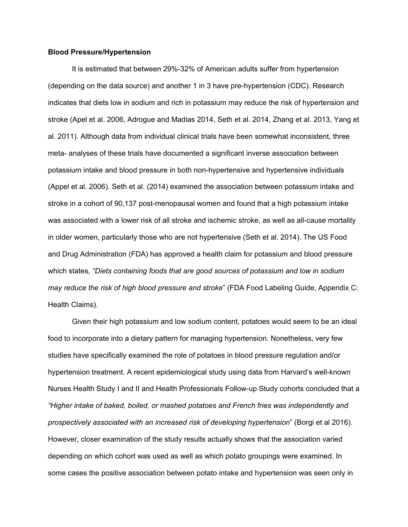#### **Blood Pressure/Hypertension**

 It is estimated that between 29%-32% of American adults suffer from hypertension (depending on the data source) and another 1 in 3 have pre-hypertension (CDC). Research indicates that diets low in sodium and rich in potassium may reduce the risk of hypertension and stroke (Apel et al. 2006, Adrogue and Madias 2014, Seth et al. 2014, Zhang et al. 2013, Yang et al. 2011). Although data from individual clinical trials have been somewhat inconsistent, three meta- analyses of these trials have documented a significant inverse association between potassium intake and blood pressure in both non-hypertensive and hypertensive individuals (Appel et al. 2006). Seth et al. (2014) examined the association between potassium intake and stroke in a cohort of 90,137 post-menopausal women and found that a high potassium intake was associated with a lower risk of all stroke and ischemic stroke, as well as all-cause mortality in older women, particularly those who are not hypertensive (Seth et al. 2014). The US Food and Drug Administration (FDA) has approved a health claim for potassium and blood pressure which states*, "Diets containing foods that are good sources of potassium and low in sodium may reduce the risk of high blood pressure and stroke*" (FDA Food Labeling Guide, Appendix C: Health Claims).

 Given their high potassium and low sodium content, potatoes would seem to be an ideal food to incorporate into a dietary pattern for managing hypertension. Nonetheless, very few studies have specifically examined the role of potatoes in blood pressure regulation and/or hypertension treatment. A recent epidemiological study using data from Harvard's well-known Nurses Health Study I and II and Health Professionals Follow-up Study cohorts concluded that a *"Higher intake of baked, boiled, or mashed potatoes and French fries was independently and prospectively associated with an increased risk of developing hypertension*" (Borgi et al 2016). However, closer examination of the study results actually shows that the association varied depending on which cohort was used as well as which potato groupings were examined. In some cases the positive association between potato intake and hypertension was seen only in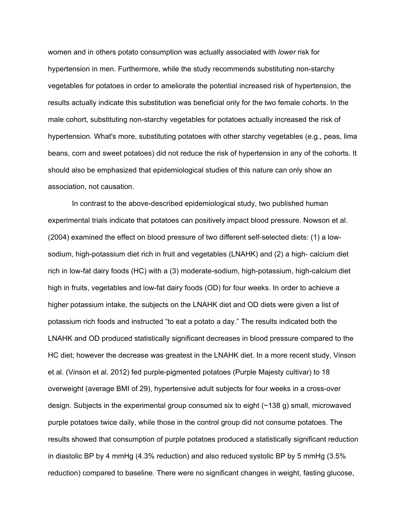women and in others potato consumption was actually associated with *lower* risk for hypertension in men. Furthermore, while the study recommends substituting non-starchy vegetables for potatoes in order to ameliorate the potential increased risk of hypertension, the results actually indicate this substitution was beneficial only for the two female cohorts. In the male cohort, substituting non-starchy vegetables for potatoes actually increased the risk of hypertension. What's more, substituting potatoes with other starchy vegetables (e.g., peas, lima beans, corn and sweet potatoes) did not reduce the risk of hypertension in any of the cohorts. It should also be emphasized that epidemiological studies of this nature can only show an association, not causation.

 In contrast to the above-described epidemiological study, two published human experimental trials indicate that potatoes can positively impact blood pressure. Nowson et al. (2004) examined the effect on blood pressure of two different self-selected diets: (1) a lowsodium, high-potassium diet rich in fruit and vegetables (LNAHK) and (2) a high- calcium diet rich in low-fat dairy foods (HC) with a (3) moderate-sodium, high-potassium, high-calcium diet high in fruits, vegetables and low-fat dairy foods (OD) for four weeks. In order to achieve a higher potassium intake, the subjects on the LNAHK diet and OD diets were given a list of potassium rich foods and instructed "to eat a potato a day." The results indicated both the LNAHK and OD produced statistically significant decreases in blood pressure compared to the HC diet; however the decrease was greatest in the LNAHK diet. In a more recent study, Vinson et al. (Vinson et al. 2012) fed purple-pigmented potatoes (Purple Majesty cultivar) to 18 overweight (average BMI of 29), hypertensive adult subjects for four weeks in a cross-over design. Subjects in the experimental group consumed six to eight (~138 g) small, microwaved purple potatoes twice daily, while those in the control group did not consume potatoes. The results showed that consumption of purple potatoes produced a statistically significant reduction in diastolic BP by 4 mmHg (4.3% reduction) and also reduced systolic BP by 5 mmHg (3.5% reduction) compared to baseline. There were no significant changes in weight, fasting glucose,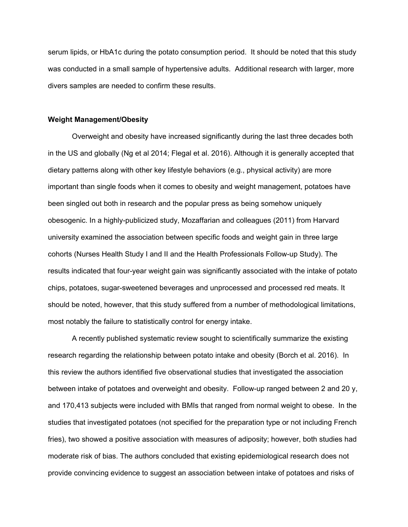serum lipids, or HbA1c during the potato consumption period. It should be noted that this study was conducted in a small sample of hypertensive adults. Additional research with larger, more divers samples are needed to confirm these results.

#### **Weight Management/Obesity**

 Overweight and obesity have increased significantly during the last three decades both in the US and globally (Ng et al 2014; Flegal et al. 2016). Although it is generally accepted that dietary patterns along with other key lifestyle behaviors (e.g., physical activity) are more important than single foods when it comes to obesity and weight management, potatoes have been singled out both in research and the popular press as being somehow uniquely obesogenic. In a highly-publicized study, Mozaffarian and colleagues (2011) from Harvard university examined the association between specific foods and weight gain in three large cohorts (Nurses Health Study I and II and the Health Professionals Follow-up Study). The results indicated that four-year weight gain was significantly associated with the intake of potato chips, potatoes, sugar-sweetened beverages and unprocessed and processed red meats. It should be noted, however, that this study suffered from a number of methodological limitations, most notably the failure to statistically control for energy intake.

A recently published systematic review sought to scientifically summarize the existing research regarding the relationship between potato intake and obesity (Borch et al. 2016). In this review the authors identified five observational studies that investigated the association between intake of potatoes and overweight and obesity. Follow-up ranged between 2 and 20 y, and 170,413 subjects were included with BMIs that ranged from normal weight to obese. In the studies that investigated potatoes (not specified for the preparation type or not including French fries), two showed a positive association with measures of adiposity; however, both studies had moderate risk of bias. The authors concluded that existing epidemiological research does not provide convincing evidence to suggest an association between intake of potatoes and risks of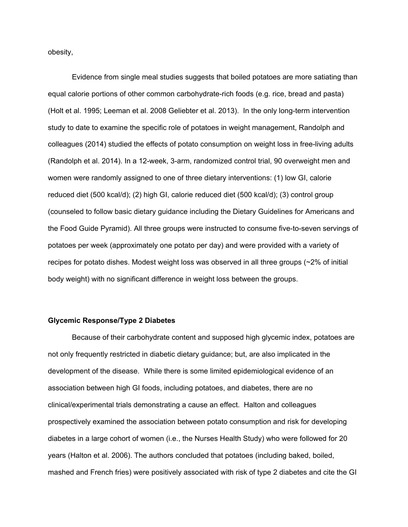obesity,

 Evidence from single meal studies suggests that boiled potatoes are more satiating than equal calorie portions of other common carbohydrate-rich foods (e.g. rice, bread and pasta) (Holt et al. 1995; Leeman et al. 2008 Geliebter et al. 2013). In the only long-term intervention study to date to examine the specific role of potatoes in weight management, Randolph and colleagues (2014) studied the effects of potato consumption on weight loss in free-living adults (Randolph et al. 2014). In a 12-week, 3-arm, randomized control trial, 90 overweight men and women were randomly assigned to one of three dietary interventions: (1) low GI, calorie reduced diet (500 kcal/d); (2) high GI, calorie reduced diet (500 kcal/d); (3) control group (counseled to follow basic dietary guidance including the Dietary Guidelines for Americans and the Food Guide Pyramid). All three groups were instructed to consume five-to-seven servings of potatoes per week (approximately one potato per day) and were provided with a variety of recipes for potato dishes. Modest weight loss was observed in all three groups (~2% of initial body weight) with no significant difference in weight loss between the groups.

#### **Glycemic Response/Type 2 Diabetes**

 Because of their carbohydrate content and supposed high glycemic index, potatoes are not only frequently restricted in diabetic dietary guidance; but, are also implicated in the development of the disease. While there is some limited epidemiological evidence of an association between high GI foods, including potatoes, and diabetes, there are no clinical/experimental trials demonstrating a cause an effect. Halton and colleagues prospectively examined the association between potato consumption and risk for developing diabetes in a large cohort of women (i.e., the Nurses Health Study) who were followed for 20 years (Halton et al. 2006). The authors concluded that potatoes (including baked, boiled, mashed and French fries) were positively associated with risk of type 2 diabetes and cite the GI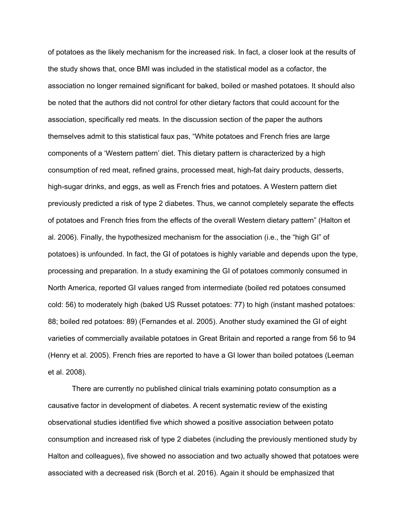of potatoes as the likely mechanism for the increased risk. In fact, a closer look at the results of the study shows that, once BMI was included in the statistical model as a cofactor, the association no longer remained significant for baked, boiled or mashed potatoes. It should also be noted that the authors did not control for other dietary factors that could account for the association, specifically red meats. In the discussion section of the paper the authors themselves admit to this statistical faux pas, "White potatoes and French fries are large components of a 'Western pattern' diet. This dietary pattern is characterized by a high consumption of red meat, refined grains, processed meat, high-fat dairy products, desserts, high-sugar drinks, and eggs, as well as French fries and potatoes. A Western pattern diet previously predicted a risk of type 2 diabetes. Thus, we cannot completely separate the effects of potatoes and French fries from the effects of the overall Western dietary pattern" (Halton et al. 2006). Finally, the hypothesized mechanism for the association (i.e., the "high GI" of potatoes) is unfounded. In fact, the GI of potatoes is highly variable and depends upon the type, processing and preparation. In a study examining the GI of potatoes commonly consumed in North America, reported GI values ranged from intermediate (boiled red potatoes consumed cold: 56) to moderately high (baked US Russet potatoes: 77) to high (instant mashed potatoes: 88; boiled red potatoes: 89) (Fernandes et al. 2005). Another study examined the GI of eight varieties of commercially available potatoes in Great Britain and reported a range from 56 to 94 (Henry et al. 2005). French fries are reported to have a GI lower than boiled potatoes (Leeman et al. 2008).

 There are currently no published clinical trials examining potato consumption as a causative factor in development of diabetes. A recent systematic review of the existing observational studies identified five which showed a positive association between potato consumption and increased risk of type 2 diabetes (including the previously mentioned study by Halton and colleagues), five showed no association and two actually showed that potatoes were associated with a decreased risk (Borch et al. 2016). Again it should be emphasized that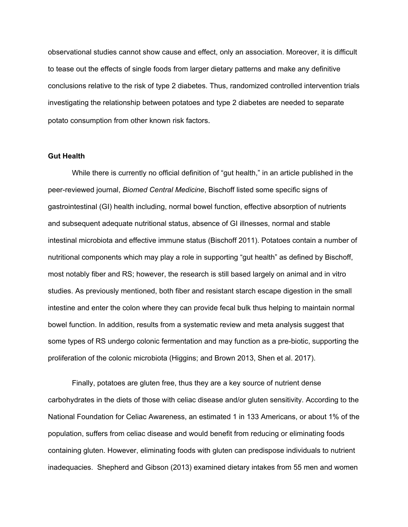observational studies cannot show cause and effect, only an association. Moreover, it is difficult to tease out the effects of single foods from larger dietary patterns and make any definitive conclusions relative to the risk of type 2 diabetes. Thus, randomized controlled intervention trials investigating the relationship between potatoes and type 2 diabetes are needed to separate potato consumption from other known risk factors.

#### **Gut Health**

 While there is currently no official definition of "gut health," in an article published in the peer-reviewed journal, *Biomed Central Medicine*, Bischoff listed some specific signs of gastrointestinal (GI) health including, normal bowel function, effective absorption of nutrients and subsequent adequate nutritional status, absence of GI illnesses, normal and stable intestinal microbiota and effective immune status (Bischoff 2011). Potatoes contain a number of nutritional components which may play a role in supporting "gut health" as defined by Bischoff, most notably fiber and RS; however, the research is still based largely on animal and in vitro studies. As previously mentioned, both fiber and resistant starch escape digestion in the small intestine and enter the colon where they can provide fecal bulk thus helping to maintain normal bowel function. In addition, results from a systematic review and meta analysis suggest that some types of RS undergo colonic fermentation and may function as a pre-biotic, supporting the proliferation of the colonic microbiota (Higgins; and Brown 2013, Shen et al. 2017).

 Finally, potatoes are gluten free, thus they are a key source of nutrient dense carbohydrates in the diets of those with celiac disease and/or gluten sensitivity. According to the National Foundation for Celiac Awareness, an estimated 1 in 133 Americans, or about 1% of the population, suffers from celiac disease and would benefit from reducing or eliminating foods containing gluten. However, eliminating foods with gluten can predispose individuals to nutrient inadequacies. Shepherd and Gibson (2013) examined dietary intakes from 55 men and women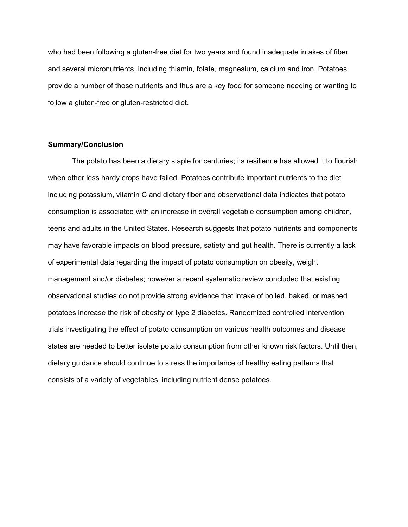who had been following a gluten-free diet for two years and found inadequate intakes of fiber and several micronutrients, including thiamin, folate, magnesium, calcium and iron. Potatoes provide a number of those nutrients and thus are a key food for someone needing or wanting to follow a gluten-free or gluten-restricted diet.

# **Summary/Conclusion**

 The potato has been a dietary staple for centuries; its resilience has allowed it to flourish when other less hardy crops have failed. Potatoes contribute important nutrients to the diet including potassium, vitamin C and dietary fiber and observational data indicates that potato consumption is associated with an increase in overall vegetable consumption among children, teens and adults in the United States. Research suggests that potato nutrients and components may have favorable impacts on blood pressure, satiety and gut health. There is currently a lack of experimental data regarding the impact of potato consumption on obesity, weight management and/or diabetes; however a recent systematic review concluded that existing observational studies do not provide strong evidence that intake of boiled, baked, or mashed potatoes increase the risk of obesity or type 2 diabetes. Randomized controlled intervention trials investigating the effect of potato consumption on various health outcomes and disease states are needed to better isolate potato consumption from other known risk factors. Until then, dietary guidance should continue to stress the importance of healthy eating patterns that consists of a variety of vegetables, including nutrient dense potatoes.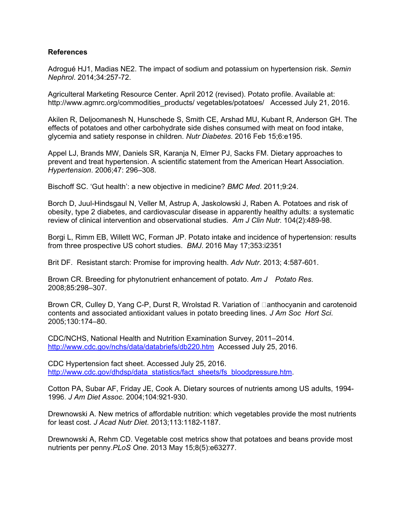# **References**

Adrogué HJ1, Madias NE2. The impact of sodium and potassium on hypertension risk. *Semin Nephrol*. 2014;34:257-72.

Agriculteral Marketing Resource Center. April 2012 (revised). Potato profile. Available at: http://www.agmrc.org/commodities\_products/ vegetables/potatoes/ Accessed July 21, 2016.

Akilen R, Deljoomanesh N, Hunschede S, Smith CE, Arshad MU, Kubant R, Anderson GH. The effects of potatoes and other carbohydrate side dishes consumed with meat on food intake, glycemia and satiety response in children. *Nutr Diabetes*. 2016 Feb 15;6:e195.

Appel LJ, Brands MW, Daniels SR, Karanja N, Elmer PJ, Sacks FM. Dietary approaches to prevent and treat hypertension. A scientific statement from the American Heart Association. *Hypertension*. 2006;47: 296–308.

Bischoff SC. 'Gut health': a new objective in medicine? *BMC Med*. 2011;9:24.

Borch D, Juul-Hindsgaul N, Veller M, Astrup A, Jaskolowski J, Raben A. Potatoes and risk of obesity, type 2 diabetes, and cardiovascular disease in apparently healthy adults: a systematic review of clinical intervention and observational studies. *Am J Clin Nutr*. 104(2):489-98.

Borgi L, Rimm EB, Willett WC, Forman JP. Potato intake and incidence of hypertension: results from three prospective US cohort studies. *BMJ*. 2016 May 17;353:i2351

Brit DF. Resistant starch: Promise for improving health. *Adv Nutr*. 2013; 4:587-601.

Brown CR. Breeding for phytonutrient enhancement of potato. *Am J Potato Res*. 2008;85:298–307.

Brown CR, Culley D, Yang C-P, Durst R, Wrolstad R. Variation of  $\Box$ anthocyanin and carotenoid contents and associated antioxidant values in potato breeding lines*. J Am Soc Hort Sci*. 2005;130:174–80.

CDC/NCHS, National Health and Nutrition Examination Survey, 2011–2014. http://www.cdc.gov/nchs/data/databriefs/db220.htm Accessed July 25, 2016.

CDC Hypertension fact sheet. Accessed July 25, 2016. http://www.cdc.gov/dhdsp/data\_statistics/fact\_sheets/fs\_bloodpressure.htm.

Cotton PA, Subar AF, Friday JE, Cook A. Dietary sources of nutrients among US adults, 1994- 1996. *J Am Diet Assoc*. 2004;104:921-930.

Drewnowski A. New metrics of affordable nutrition: which vegetables provide the most nutrients for least cost. *J Acad Nutr Diet*. 2013;113:1182-1187.

Drewnowski A, Rehm CD. Vegetable cost metrics show that potatoes and beans provide most nutrients per penny.*PLoS One*. 2013 May 15;8(5):e63277.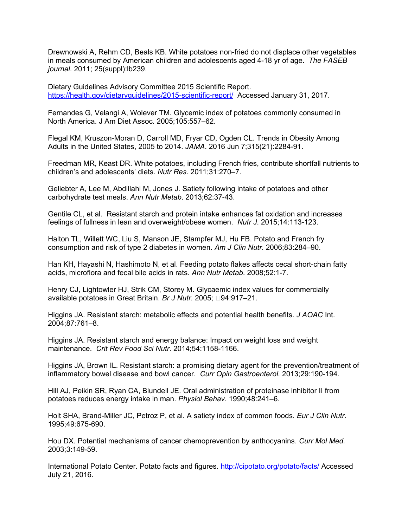Drewnowski A, Rehm CD, Beals KB. White potatoes non-fried do not displace other vegetables in meals consumed by American children and adolescents aged 4-18 yr of age. *The FASEB journal*. 2011; 25(suppl):lb239.

Dietary Guidelines Advisory Committee 2015 Scientific Report. https://health.gov/dietaryguidelines/2015-scientific-report/ Accessed January 31, 2017.

Fernandes G, Velangi A, Wolever TM. Glycemic index of potatoes commonly consumed in North America. J Am Diet Assoc. 2005;105:557–62.

Flegal KM, Kruszon-Moran D, Carroll MD, Fryar CD, Ogden CL. Trends in Obesity Among Adults in the United States, 2005 to 2014. *JAMA*. 2016 Jun 7;315(21):2284-91.

Freedman MR, Keast DR. White potatoes, including French fries, contribute shortfall nutrients to children's and adolescents' diets. *Nutr Res*. 2011;31:270–7.

Geliebter A, Lee M, Abdillahi M, Jones J. Satiety following intake of potatoes and other carbohydrate test meals. *Ann Nutr Metab*. 2013;62:37-43.

Gentile CL, et al. Resistant starch and protein intake enhances fat oxidation and increases feelings of fullness in lean and overweight/obese women. *Nutr J*. 2015;14:113-123.

Halton TL, Willett WC, Liu S, Manson JE, Stampfer MJ, Hu FB. Potato and French fry consumption and risk of type 2 diabetes in women. *Am J Clin Nutr*. 2006;83:284–90.

Han KH, Hayashi N, Hashimoto N, et al. Feeding potato flakes affects cecal short-chain fatty acids, microflora and fecal bile acids in rats. *Ann Nutr Metab*. 2008;52:1-7.

Henry CJ, Lightowler HJ, Strik CM, Storey M. Glycaemic index values for commercially available potatoes in Great Britain. *Br J Nutr.* 2005; □94:917-21.

Higgins JA. Resistant starch: metabolic effects and potential health benefits. *J AOAC* Int. 2004;87:761–8.

Higgins JA. Resistant starch and energy balance: Impact on weight loss and weight maintenance. *Crit Rev Food Sci Nutr*. 2014;54:1158-1166.

Higgins JA, Brown IL. Resistant starch: a promising dietary agent for the prevention/treatment of inflammatory bowel disease and bowl cancer. *Curr Opin Gastroenterol.* 2013;29:190-194.

Hill AJ, Peikin SR, Ryan CA, Blundell JE. Oral administration of proteinase inhibitor II from potatoes reduces energy intake in man. *Physiol Behav*. 1990;48:241–6.

Holt SHA, Brand-Miller JC, Petroz P, et al. A satiety index of common foods. *Eur J Clin Nutr*. 1995;49:675-690.

Hou DX. Potential mechanisms of cancer chemoprevention by anthocyanins. *Curr Mol Med.* 2003;3:149-59.

International Potato Center. Potato facts and figures. http://cipotato.org/potato/facts/ Accessed July 21, 2016.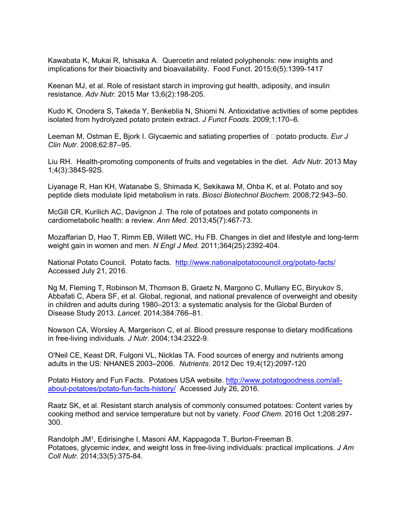Kawabata K, Mukai R, Ishisaka A. Quercetin and related polyphenols: new insights and implications for their bioactivity and bioavailability. Food Funct. 2015;6(5):1399-1417

Keenan MJ, et al. Role of resistant starch in improving gut health, adiposity, and insulin resistance. *Adv Nutr.* 2015 Mar 13;6(2):198-205.

Kudo K, Onodera S, Takeda Y, Benkeblia N, Shiomi N. Antioxidative activities of some peptides isolated from hydrolyzed potato protein extract. *J Funct Foods*. 2009;1:170–6.

Leeman M, Ostman E, Bjork I. Glycaemic and satiating properties of □potato products. *Eur J Clin Nutr*. 2008;62:87–95.

Liu RH. Health-promoting components of fruits and vegetables in the diet. *Adv Nutr.* 2013 May 1;4(3):384S-92S.

Liyanage R, Han KH, Watanabe S, Shimada K, Sekikawa M, Ohba K, et al. Potato and soy peptide diets modulate lipid metabolism in rats. *Biosci Biotechnol Biochem*. 2008;72:943–50.

McGill CR, Kurilich AC, Davignon J. The role of potatoes and potato components in cardiometabolic health: a review. *Ann Med*. 2013;45(7):467-73.

Mozaffarian D, Hao T, Rimm EB, Willett WC, Hu FB. Changes in diet and lifestyle and long-term weight gain in women and men. *N Engl J Med*. 2011;364(25):2392-404.

National Potato Council. Potato facts. http://www.nationalpotatocouncil.org/potato-facts/ Accessed July 21, 2016.

Ng M, Fleming T, Robinson M, Thomson B, Graetz N, Margono C, Mullany EC, Biryukov S, Abbafati C, Abera SF, et al. Global, regional, and national prevalence of overweight and obesity in children and adults during 1980–2013: a systematic analysis for the Global Burden of Disease Study 2013. *Lancet*. 2014;384:766–81.

Nowson CA, Worsley A, Margerison C, et al. Blood pressure response to dietary modifications in free-living individuals*. J Nutr.* 2004;134:2322-9.

O'Neil CE, Keast DR, Fulgoni VL, Nicklas TA. Food sources of energy and nutrients among adults in the US: NHANES 2003–2006. *Nutrients*. 2012 Dec 19;4(12):2097-120

Potato History and Fun Facts. Potatoes USA website. http://www.potatogoodness.com/allabout-potatoes/potato-fun-facts-history/ Accessed July 26, 2016.

Raatz SK, et al. Resistant starch analysis of commonly consumed potatoes: Content varies by cooking method and service temperature but not by variety. *Food Chem.* 2016 Oct 1;208:297- 300.

Randolph JM1, Edirisinghe I, Masoni AM, Kappagoda T, Burton-Freeman B. Potatoes, glycemic index, and weight loss in free-living individuals: practical implications. *J Am Coll Nutr.* 2014;33(5):375-84.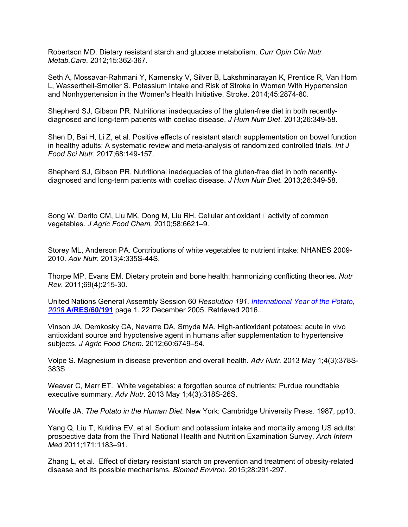Robertson MD. Dietary resistant starch and glucose metabolism. *Curr Opin Clin Nutr Metab.Care.* 2012;15:362-367.

Seth A, Mossavar-Rahmani Y, Kamensky V, Silver B, Lakshminarayan K, Prentice R, Van Horn L, Wassertheil-Smoller S. Potassium Intake and Risk of Stroke in Women With Hypertension and Nonhypertension in the Women's Health Initiative. Stroke. 2014;45:2874-80.

Shepherd SJ, Gibson PR. Nutritional inadequacies of the gluten-free diet in both recentlydiagnosed and long-term patients with coeliac disease. *J Hum Nutr Diet*. 2013;26:349-58.

Shen D, Bai H, Li Z, et al. Positive effects of resistant starch supplementation on bowel function in healthy adults: A systematic review and meta-analysis of randomized controlled trials. *Int J Food Sci Nutr*. 2017;68:149-157.

Shepherd SJ, Gibson PR. Nutritional inadequacies of the gluten-free diet in both recentlydiagnosed and long-term patients with coeliac disease. *J Hum Nutr Diet.* 2013;26:349-58.

Song W, Derito CM, Liu MK, Dong M, Liu RH. Cellular antioxidant  $\Box$  activity of common vegetables. *J Agric Food Chem.* 2010;58:6621–9.

Storey ML, Anderson PA. Contributions of white vegetables to nutrient intake: NHANES 2009- 2010. *Adv Nutr.* 2013;4:335S-44S.

Thorpe MP, Evans EM. Dietary protein and bone health: harmonizing conflicting theories*. Nutr Rev.* 2011;69(4):215-30.

United Nations General Assembly Session 60 *Resolution 191*. *International Year of the Potato, 2008* **A/RES/60/191** page 1. 22 December 2005. Retrieved 2016..

Vinson JA, Demkosky CA, Navarre DA, Smyda MA. High-antioxidant potatoes: acute in vivo antioxidant source and hypotensive agent in humans after supplementation to hypertensive subjects. *J Agric Food Chem*. 2012;60:6749–54.

Volpe S. Magnesium in disease prevention and overall health. *Adv Nutr.* 2013 May 1;4(3):378S-383S

Weaver C, Marr ET. White vegetables: a forgotten source of nutrients: Purdue roundtable executive summary. *Adv Nutr.* 2013 May 1;4(3):318S-26S.

Woolfe JA. *The Potato in the Human Diet*. New York: Cambridge University Press. 1987, pp10.

Yang Q, Liu T, Kuklina EV, et al. Sodium and potassium intake and mortality among US adults: prospective data from the Third National Health and Nutrition Examination Survey. *Arch Intern Med* 2011;171:1183–91.

Zhang L, et al. Effect of dietary resistant starch on prevention and treatment of obesity-related disease and its possible mechanisms*. Biomed Environ*. 2015;28:291-297.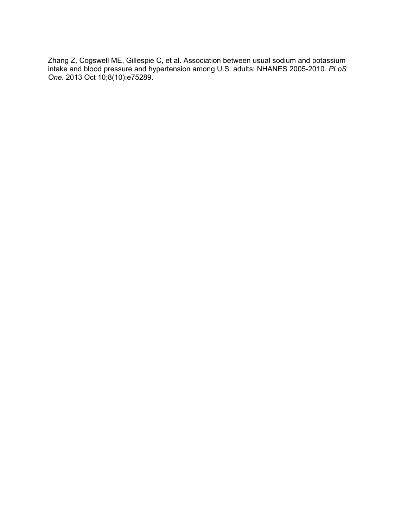Zhang Z, Cogswell ME, Gillespie C, et al. Association between usual sodium and potassium intake and blood pressure and hypertension among U.S. adults: NHANES 2005-2010. *PLoS One*. 2013 Oct 10;8(10):e75289.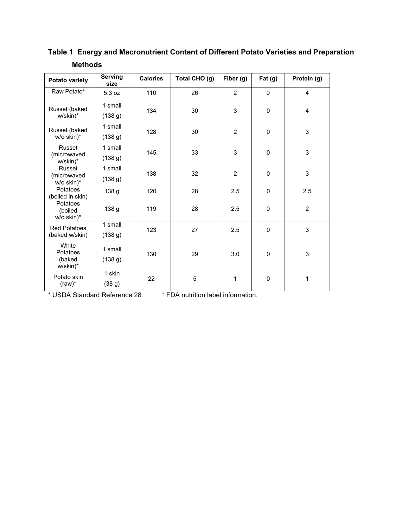| Potato variety                          | <b>Serving</b><br>size | <b>Calories</b> | Total CHO (g) | Fiber (g)      | Fat(g)       | Protein (g)    |  |
|-----------------------------------------|------------------------|-----------------|---------------|----------------|--------------|----------------|--|
| Raw Potato <sup>+</sup>                 | 5.3 oz                 | 110             | 26            | $\overline{2}$ | $\Omega$     | 4              |  |
| Russet (baked<br>w/skin)*               | 1 small<br>(138 g)     | 134             | 30            | 3              | $\mathbf 0$  | $\overline{4}$ |  |
| Russet (baked<br>w/o skin)*             | 1 small<br>(138 g)     | 128             | 30            | $\overline{2}$ | $\Omega$     | 3              |  |
| Russet<br>(microwaved<br>w/skin)*       | 1 small<br>(138 g)     | 145             | 33            | 3              | $\mathbf 0$  | 3              |  |
| Russet<br>(microwaved<br>w/o skin)*     | 1 small<br>(138 g)     | 138             | 32            | 2              | $\mathbf 0$  | 3              |  |
| Potatoes<br>(boiled in skin)            | 138 g                  | 120             | 28            | 2.5            | $\mathbf{0}$ | 2.5            |  |
| Potatoes<br>(boiled<br>w/o skin)*       | 138 g                  | 119             | 28            | 2.5            | $\mathbf 0$  | $\overline{2}$ |  |
| <b>Red Potatoes</b><br>(baked w/skin)   | 1 small<br>(138 g)     | 123             | 27            | 2.5            | $\mathbf 0$  | 3              |  |
| White<br>Potatoes<br>(baked<br>w/skin)* | 1 small<br>(138 g)     | 130             | 29            | 3.0            | $\mathbf 0$  | 3              |  |
| Potato skin<br>$(raw)^*$                | 1 skin<br>(38 g)       | 22              | 5             | 1              | $\mathbf 0$  | 1              |  |

# **Table 1 Energy and Macronutrient Content of Different Potato Varieties and Preparation Methods**

\* USDA Standard Reference 28 + FDA nutrition label information.